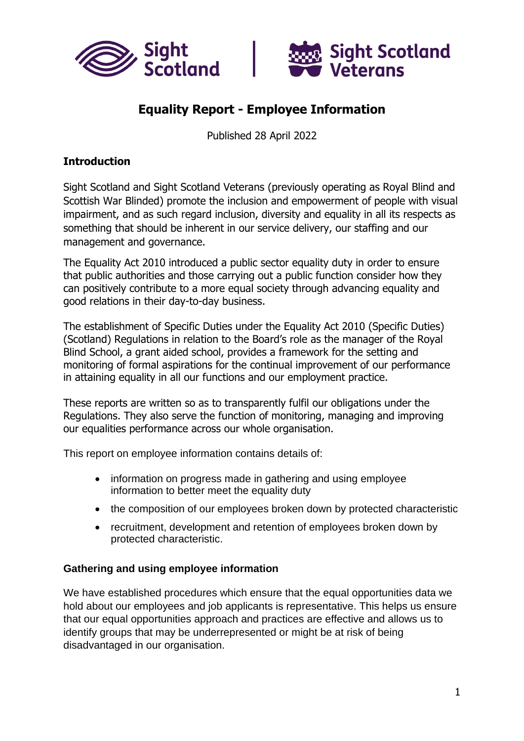



# **Equality Report - Employee Information**

Published 28 April 2022

### **Introduction**

Sight Scotland and Sight Scotland Veterans (previously operating as Royal Blind and Scottish War Blinded) promote the inclusion and empowerment of people with visual impairment, and as such regard inclusion, diversity and equality in all its respects as something that should be inherent in our service delivery, our staffing and our management and governance.

The Equality Act 2010 introduced a public sector equality duty in order to ensure that public authorities and those carrying out a public function consider how they can positively contribute to a more equal society through advancing equality and good relations in their day-to-day business.

The establishment of Specific Duties under the Equality Act 2010 (Specific Duties) (Scotland) Regulations in relation to the Board's role as the manager of the Royal Blind School, a grant aided school, provides a framework for the setting and monitoring of formal aspirations for the continual improvement of our performance in attaining equality in all our functions and our employment practice.

These reports are written so as to transparently fulfil our obligations under the Regulations. They also serve the function of monitoring, managing and improving our equalities performance across our whole organisation.

This report on employee information contains details of:

- information on progress made in gathering and using employee information to better meet the equality duty
- the composition of our employees broken down by protected characteristic
- recruitment, development and retention of employees broken down by protected characteristic.

#### **Gathering and using employee information**

We have established procedures which ensure that the equal opportunities data we hold about our employees and job applicants is representative. This helps us ensure that our equal opportunities approach and practices are effective and allows us to identify groups that may be underrepresented or might be at risk of being disadvantaged in our organisation.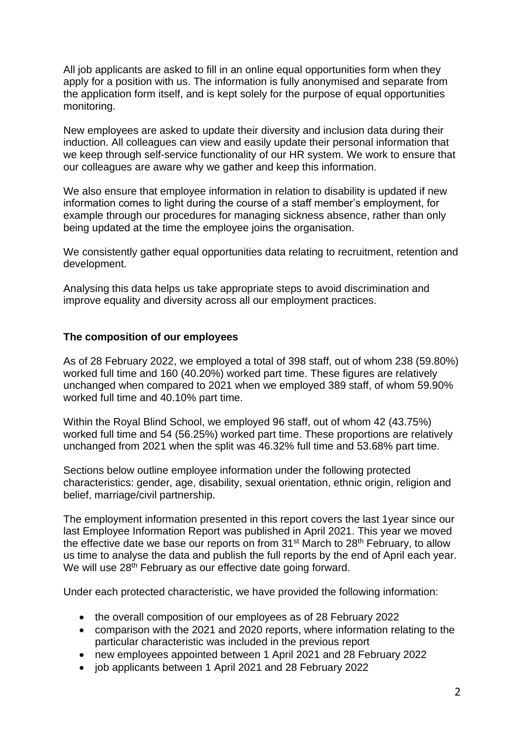All job applicants are asked to fill in an online equal opportunities form when they apply for a position with us. The information is fully anonymised and separate from the application form itself, and is kept solely for the purpose of equal opportunities monitoring.

New employees are asked to update their diversity and inclusion data during their induction. All colleagues can view and easily update their personal information that we keep through self-service functionality of our HR system. We work to ensure that our colleagues are aware why we gather and keep this information.

We also ensure that employee information in relation to disability is updated if new information comes to light during the course of a staff member's employment, for example through our procedures for managing sickness absence, rather than only being updated at the time the employee joins the organisation.

We consistently gather equal opportunities data relating to recruitment, retention and development.

Analysing this data helps us take appropriate steps to avoid discrimination and improve equality and diversity across all our employment practices.

#### **The composition of our employees**

As of 28 February 2022, we employed a total of 398 staff, out of whom 238 (59.80%) worked full time and 160 (40.20%) worked part time. These figures are relatively unchanged when compared to 2021 when we employed 389 staff, of whom 59.90% worked full time and 40.10% part time.

Within the Royal Blind School, we employed 96 staff, out of whom 42 (43.75%) worked full time and 54 (56.25%) worked part time. These proportions are relatively unchanged from 2021 when the split was 46.32% full time and 53.68% part time.

Sections below outline employee information under the following protected characteristics: gender, age, disability, sexual orientation, ethnic origin, religion and belief, marriage/civil partnership.

The employment information presented in this report covers the last 1year since our last Employee Information Report was published in April 2021. This year we moved the effective date we base our reports on from  $31<sup>st</sup>$  March to  $28<sup>th</sup>$  February, to allow us time to analyse the data and publish the full reports by the end of April each year. We will use 28<sup>th</sup> February as our effective date going forward.

Under each protected characteristic, we have provided the following information:

- the overall composition of our employees as of 28 February 2022
- comparison with the 2021 and 2020 reports, where information relating to the particular characteristic was included in the previous report
- new employees appointed between 1 April 2021 and 28 February 2022
- job applicants between 1 April 2021 and 28 February 2022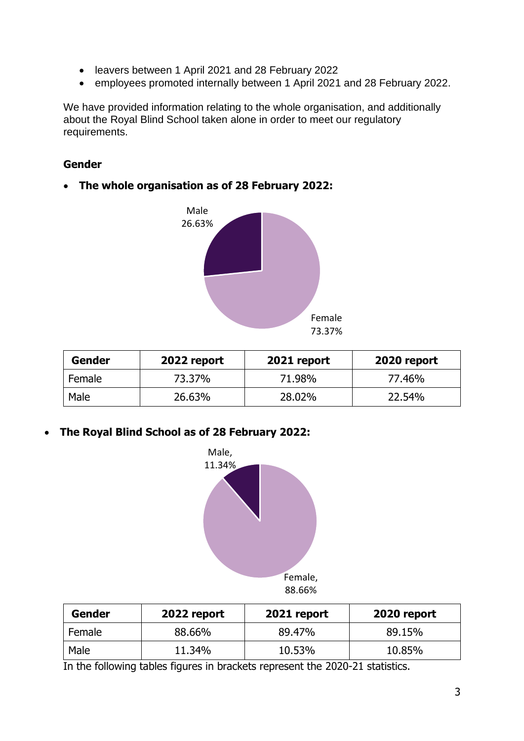- leavers between 1 April 2021 and 28 February 2022
- employees promoted internally between 1 April 2021 and 28 February 2022.

We have provided information relating to the whole organisation, and additionally about the Royal Blind School taken alone in order to meet our regulatory requirements.

#### **Gender**

#### • **The whole organisation as of 28 February 2022:**



| Gender | 2022 report | 2021 report | 2020 report |
|--------|-------------|-------------|-------------|
| Female | 73.37%      | 71.98%      | 77.46%      |
| Male   | 26.63%      | 28.02%      | 22.54%      |

• **The Royal Blind School as of 28 February 2022:**



| Gender | 2022 report | 2021 report | 2020 report |
|--------|-------------|-------------|-------------|
| Female | 88.66%      | 89.47%      | 89.15%      |
| Male   | 11.34%      | 10.53%      | 10.85%      |

In the following tables figures in brackets represent the 2020-21 statistics.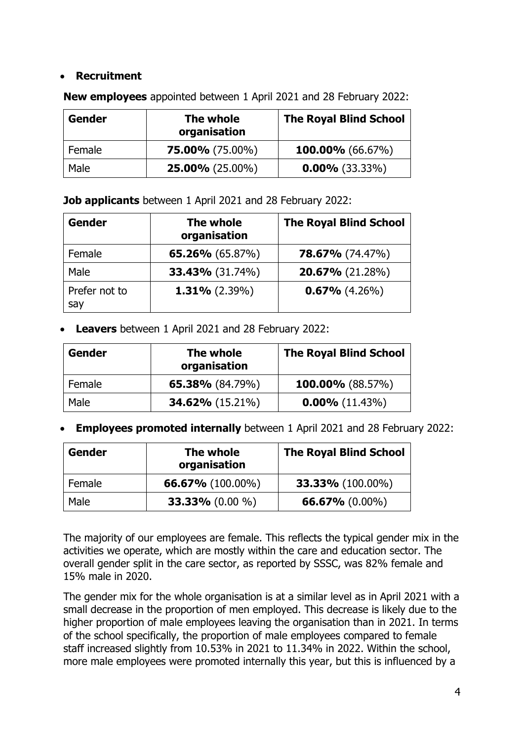### • **Recruitment**

| Gender | The whole<br>organisation | <b>The Royal Blind School</b> |
|--------|---------------------------|-------------------------------|
| Female | $75.00\%$ (75.00%)        | <b>100.00%</b> (66.67%)       |
| Male   | $25.00\%$ (25.00%)        | $0.00\%$ (33.33%)             |

**New employees** appointed between 1 April 2021 and 28 February 2022:

**Job applicants** between 1 April 2021 and 28 February 2022:

| <b>Gender</b>        | The whole<br>organisation | <b>The Royal Blind School</b> |
|----------------------|---------------------------|-------------------------------|
| Female               | 65.26% $(65.87%)$         | $78.67\%$ (74.47%)            |
| Male                 | <b>33.43%</b> (31.74%)    | 20.67% (21.28%)               |
| Prefer not to<br>say | $1.31\%$ (2.39%)          | $0.67\%$ (4.26%)              |

• **Leavers** between 1 April 2021 and 28 February 2022:

| Gender | The whole<br>organisation | <b>The Royal Blind School</b> |
|--------|---------------------------|-------------------------------|
| Female | 65.38% $(84.79%)$         | 100.00% $(88.57%)$            |
| Male   | <b>34.62%</b> (15.21%)    | $0.00\%$ (11.43%)             |

• **Employees promoted internally** between 1 April 2021 and 28 February 2022:

| Gender | The whole<br>organisation | <b>The Royal Blind School</b> |
|--------|---------------------------|-------------------------------|
| Female | 66.67% $(100.00\%)$       | <b>33.33%</b> (100.00%)       |
| Male   | 33.33% $(0.00\% )$        | 66.67% $(0.00\%)$             |

The majority of our employees are female. This reflects the typical gender mix in the activities we operate, which are mostly within the care and education sector. The overall gender split in the care sector, as reported by SSSC, was 82% female and 15% male in 2020.

The gender mix for the whole organisation is at a similar level as in April 2021 with a small decrease in the proportion of men employed. This decrease is likely due to the higher proportion of male employees leaving the organisation than in 2021. In terms of the school specifically, the proportion of male employees compared to female staff increased slightly from 10.53% in 2021 to 11.34% in 2022. Within the school, more male employees were promoted internally this year, but this is influenced by a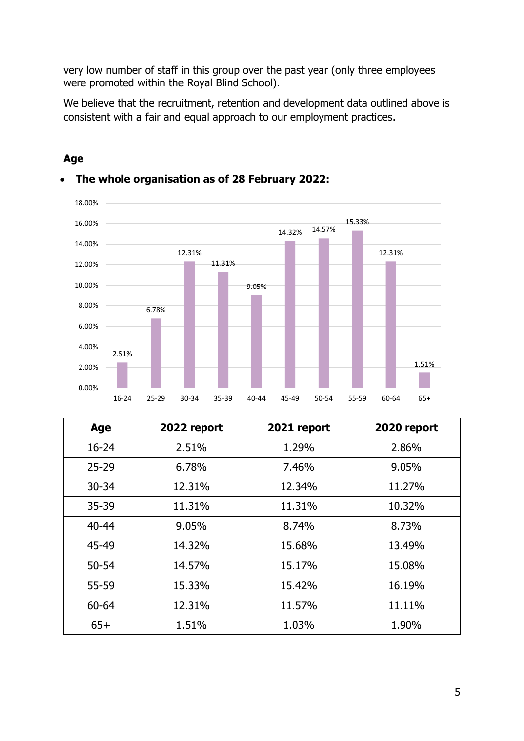very low number of staff in this group over the past year (only three employees were promoted within the Royal Blind School).

We believe that the recruitment, retention and development data outlined above is consistent with a fair and equal approach to our employment practices.



#### **Age**

| Age       | 2022 report | 2021 report | 2020 report |
|-----------|-------------|-------------|-------------|
| $16 - 24$ | 2.51%       | 1.29%       | 2.86%       |
| $25 - 29$ | 6.78%       | 7.46%       | 9.05%       |
| $30 - 34$ | 12.31%      | 12.34%      | 11.27%      |
| 35-39     | 11.31%      | 11.31%      | 10.32%      |
| $40 - 44$ | 9.05%       | 8.74%       | 8.73%       |
| 45-49     | 14.32%      | 15.68%      | 13.49%      |
| $50 - 54$ | 14.57%      | 15.17%      | 15.08%      |
| 55-59     | 15.33%      | 15.42%      | 16.19%      |
| 60-64     | 12.31%      | 11.57%      | 11.11%      |
| $65+$     | 1.51%       | 1.03%       | 1.90%       |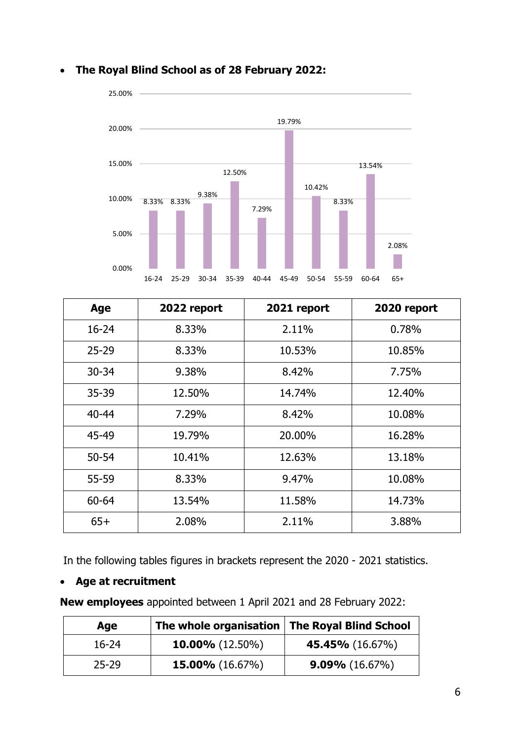

| Age       | 2022 report | 2021 report | 2020 report |
|-----------|-------------|-------------|-------------|
| $16 - 24$ | 8.33%       | 2.11%       | 0.78%       |
| $25 - 29$ | 8.33%       | 10.53%      | 10.85%      |
| $30 - 34$ | 9.38%       | 8.42%       | 7.75%       |
| $35 - 39$ | 12.50%      | 14.74%      | 12.40%      |
| $40 - 44$ | 7.29%       | 8.42%       | 10.08%      |
| 45-49     | 19.79%      | 20,00%      | 16.28%      |
| $50 - 54$ | 10.41%      | 12.63%      | 13.18%      |
| 55-59     | 8.33%       | 9.47%       | 10.08%      |
| $60 - 64$ | 13.54%      | 11.58%      | 14.73%      |
| $65+$     | 2.08%       | 2.11%       | 3.88%       |

In the following tables figures in brackets represent the 2020 - 2021 statistics.

### • **Age at recruitment**

**New employees** appointed between 1 April 2021 and 28 February 2022:

| Age       | The whole organisation   The Royal Blind School |                        |
|-----------|-------------------------------------------------|------------------------|
| 16-24     | <b>10.00%</b> $(12.50\%)$                       | <b>45.45%</b> (16.67%) |
| $25 - 29$ | <b>15.00%</b> $(16.67\%)$                       | $9.09\%$ (16.67%)      |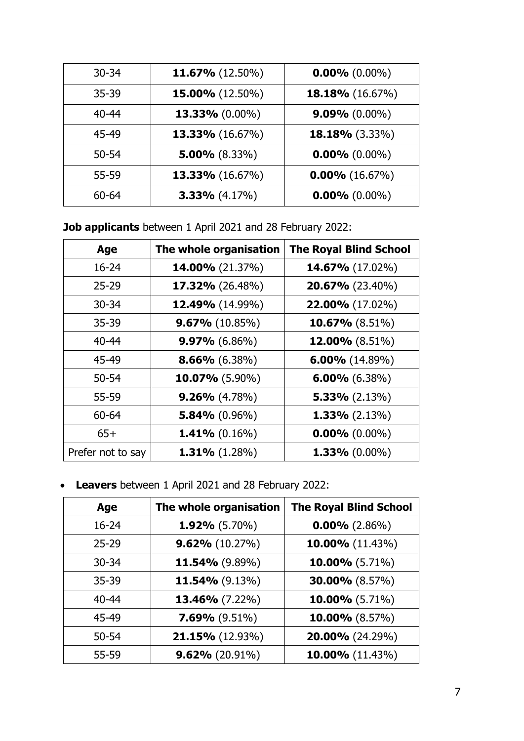| $30 - 34$ | 11.67% (12.50%)        | $0.00\%$ (0.00%)  |
|-----------|------------------------|-------------------|
| $35 - 39$ | 15.00% (12.50%)        | 18.18% (16.67%)   |
| $40 - 44$ | 13.33% (0.00%)         | $9.09\%$ (0.00%)  |
| 45-49     | <b>13.33%</b> (16.67%) | 18.18% (3.33%)    |
| $50 - 54$ | $5.00\%$ (8.33%)       | $0.00\%$ (0.00%)  |
| 55-59     | 13.33% (16.67%)        | $0.00\%$ (16.67%) |
| $60 - 64$ | $3.33\%$ (4.17%)       | $0.00\%$ (0.00%)  |

**Job applicants** between 1 April 2021 and 28 February 2022:

| Age               | The whole organisation | <b>The Royal Blind School</b> |
|-------------------|------------------------|-------------------------------|
| $16 - 24$         | 14.00% (21.37%)        | <b>14.67%</b> (17.02%)        |
| $25 - 29$         | $17.32\%$ (26.48%)     | 20.67% (23.40%)               |
| $30 - 34$         | <b>12.49%</b> (14.99%) | 22.00% (17.02%)               |
| 35-39             | $9.67\%$ (10.85%)      | 10.67% (8.51%)                |
| $40 - 44$         | $9.97\%$ (6.86%)       | <b>12.00%</b> (8.51%)         |
| 45-49             | $8.66\%$ (6.38%)       | $6.00\%$ (14.89%)             |
| $50 - 54$         | $10.07\%$ (5.90%)      | $6.00\%$ (6.38%)              |
| 55-59             | $9.26\%$ (4.78%)       | $5.33\%$ (2.13%)              |
| 60-64             | $5.84\%$ (0.96%)       | $1.33\%$ (2.13%)              |
| $65+$             | $1.41\%$ (0.16%)       | $0.00\%$ (0.00%)              |
| Prefer not to say | 1.31% $(1.28%)$        | $1.33\%$ (0.00%)              |

• **Leavers** between 1 April 2021 and 28 February 2022:

| Age       | The whole organisation | <b>The Royal Blind School</b> |
|-----------|------------------------|-------------------------------|
| $16 - 24$ | $1.92\%$ (5.70%)       | $0.00\%$ (2.86%)              |
| $25 - 29$ | $9.62\%$ (10.27%)      | 10.00% (11.43%)               |
| $30 - 34$ | 11.54% (9.89%)         | 10.00% (5.71%)                |
| $35 - 39$ | 11.54% (9.13%)         | <b>30.00%</b> (8.57%)         |
| $40 - 44$ | 13.46% (7.22%)         | 10.00% (5.71%)                |
| 45-49     | $7.69\%$ (9.51%)       | 10.00% (8.57%)                |
| $50 - 54$ | $21.15\%$ (12.93%)     | <b>20.00%</b> (24.29%)        |
| 55-59     | $9.62\%$ (20.91%)      | 10.00% (11.43%)               |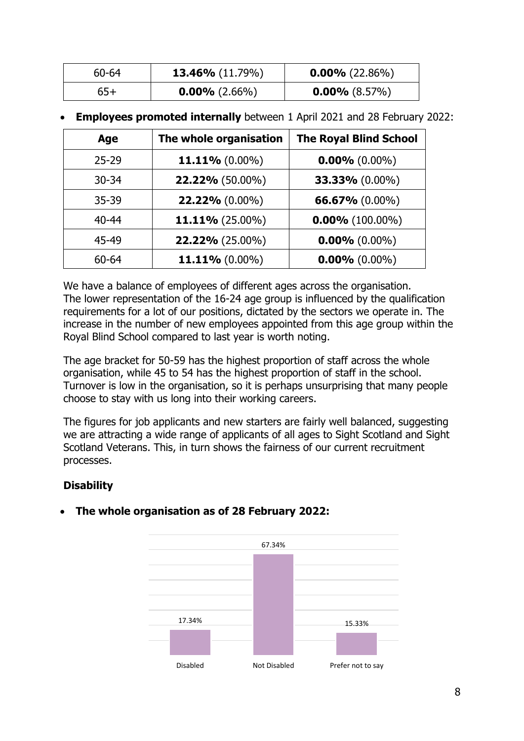| 60-64 | <b>13.46%</b> $(11.79%)$ | $0.00\%$ (22.86%) |
|-------|--------------------------|-------------------|
| 65+   | $0.00\%$ (2.66%)         | $0.00\%$ (8.57%)  |

• **Employees promoted internally** between 1 April 2021 and 28 February 2022:

| Age       | The whole organisation | <b>The Royal Blind School</b> |
|-----------|------------------------|-------------------------------|
| $25 - 29$ | 11.11% $(0.00\%)$      | $0.00\%$ (0.00%)              |
| $30 - 34$ | 22.22% (50.00%)        | 33.33% (0.00%)                |
| $35 - 39$ | 22.22% (0.00%)         | 66.67% (0.00%)                |
| $40 - 44$ | 11.11% (25.00%)        | $0.00\%$ (100.00%)            |
| 45-49     | 22.22% (25.00%)        | $0.00\%$ (0.00%)              |
| 60-64     | 11.11% (0.00%)         | $0.00\%$ (0.00%)              |

We have a balance of employees of different ages across the organisation. The lower representation of the 16-24 age group is influenced by the qualification requirements for a lot of our positions, dictated by the sectors we operate in. The increase in the number of new employees appointed from this age group within the Royal Blind School compared to last year is worth noting.

The age bracket for 50-59 has the highest proportion of staff across the whole organisation, while 45 to 54 has the highest proportion of staff in the school. Turnover is low in the organisation, so it is perhaps unsurprising that many people choose to stay with us long into their working careers.

The figures for job applicants and new starters are fairly well balanced, suggesting we are attracting a wide range of applicants of all ages to Sight Scotland and Sight Scotland Veterans. This, in turn shows the fairness of our current recruitment processes.

## **Disability**

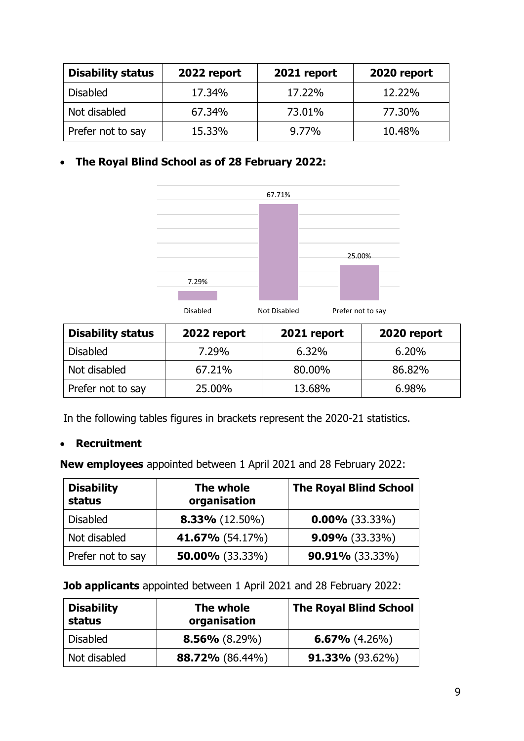| <b>Disability status</b> | 2022 report | 2021 report | 2020 report |
|--------------------------|-------------|-------------|-------------|
| <b>Disabled</b>          | 17.34%      | 17.22%      | 12.22%      |
| Not disabled             | 67.34%      | 73.01%      | 77.30%      |
| Prefer not to say        | 15.33%      | $9.77\%$    | 10.48%      |



| <b>Disability status</b> | 2022 report | 2021 report | 2020 report |
|--------------------------|-------------|-------------|-------------|
| <b>Disabled</b>          | 7.29%       | 6.32%       | 6.20%       |
| Not disabled             | 67.21%      | 80,00%      | 86.82%      |
| Prefer not to say        | 25,00%      | 13.68%      | 6.98%       |

In the following tables figures in brackets represent the 2020-21 statistics.

### • **Recruitment**

**New employees** appointed between 1 April 2021 and 28 February 2022:

| <b>Disability</b><br>status | The whole<br>organisation | <b>The Royal Blind School</b> |
|-----------------------------|---------------------------|-------------------------------|
| <b>Disabled</b>             | $8.33\%$ (12.50%)         | $0.00\%$ (33.33%)             |
| Not disabled                | <b>41.67%</b> (54.17%)    | $9.09\%$ (33.33%)             |
| Prefer not to say           | 50.00% $(33.33\%)$        | $90.91\%$ (33.33%)            |

#### **Job applicants** appointed between 1 April 2021 and 28 February 2022:

| <b>Disability</b><br>status | The whole<br>organisation | <b>The Royal Blind School</b> |
|-----------------------------|---------------------------|-------------------------------|
| <b>Disabled</b>             | $8.56\%$ (8.29%)          | $6.67\%$ (4.26%)              |
| Not disabled                | <b>88.72%</b> (86.44%)    | <b>91.33%</b> (93.62%)        |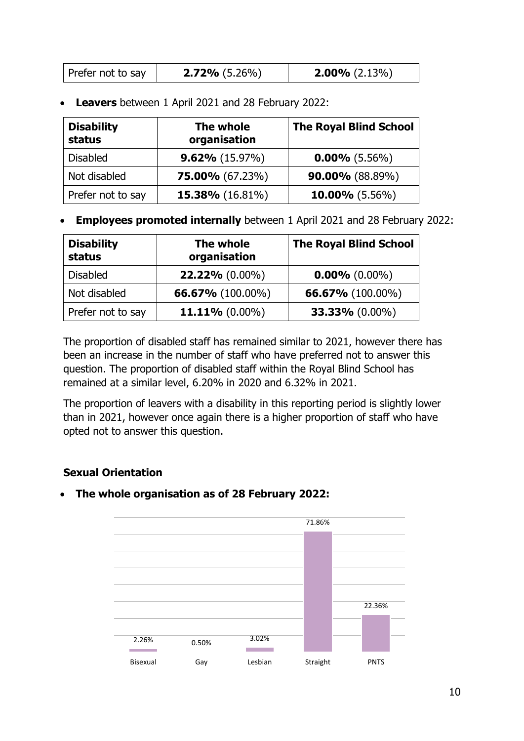| Prefer not to say | $2.72\%$ (5.26%) | $2.00\%$ (2.13%) |
|-------------------|------------------|------------------|
|-------------------|------------------|------------------|

• **Leavers** between 1 April 2021 and 28 February 2022:

| <b>Disability</b><br>status | The whole<br>organisation | <b>The Royal Blind School</b> |
|-----------------------------|---------------------------|-------------------------------|
| <b>Disabled</b>             | $9.62\%$ (15.97%)         | $0.00\%$ (5.56%)              |
| Not disabled                | $75.00\%$ (67.23%)        | $90.00\%$ (88.89%)            |
| Prefer not to say           | <b>15.38%</b> (16.81%)    | 10.00% $(5.56\%)$             |

• **Employees promoted internally** between 1 April 2021 and 28 February 2022:

| <b>Disability</b><br>status | The whole<br>organisation | <b>The Royal Blind School</b> |
|-----------------------------|---------------------------|-------------------------------|
| <b>Disabled</b>             | $22.22\%$ (0.00%)         | $0.00\%$ (0.00%)              |
| Not disabled                | <b>66.67%</b> (100.00%)   | <b>66.67%</b> (100.00%)       |
| Prefer not to say           | 11.11% $(0.00\%)$         | 33.33% (0.00%)                |

The proportion of disabled staff has remained similar to 2021, however there has been an increase in the number of staff who have preferred not to answer this question. The proportion of disabled staff within the Royal Blind School has remained at a similar level, 6.20% in 2020 and 6.32% in 2021.

The proportion of leavers with a disability in this reporting period is slightly lower than in 2021, however once again there is a higher proportion of staff who have opted not to answer this question.

### **Sexual Orientation**

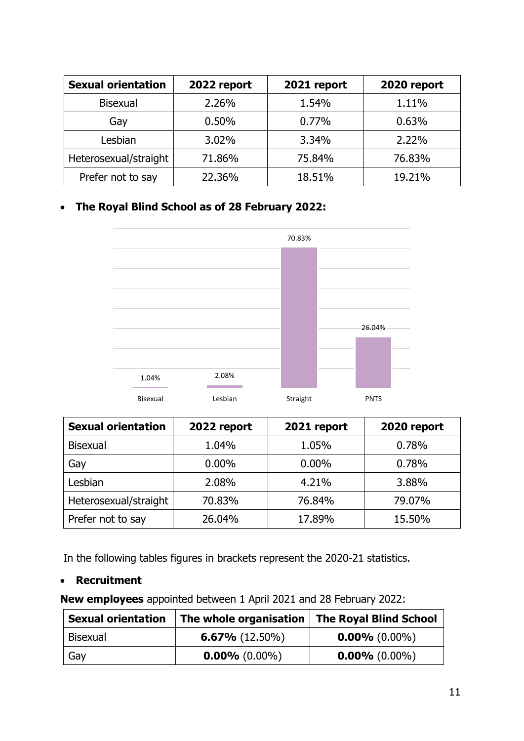| <b>Sexual orientation</b> | 2022 report | 2021 report | 2020 report |
|---------------------------|-------------|-------------|-------------|
| <b>Bisexual</b>           | 2.26%       | 1.54%       | 1.11%       |
| Gay                       | 0.50%       | 0.77%       | 0.63%       |
| Lesbian                   | 3.02%       | 3.34%       | 2.22%       |
| Heterosexual/straight     | 71.86%      | 75.84%      | 76.83%      |
| Prefer not to say         | 22.36%      | 18.51%      | 19.21%      |



| <b>Sexual orientation</b> | 2022 report | 2021 report | 2020 report |
|---------------------------|-------------|-------------|-------------|
| <b>Bisexual</b>           | 1.04%       | 1.05%       | 0.78%       |
| Gay                       | $0.00\%$    | $0.00\%$    | 0.78%       |
| Lesbian                   | 2.08%       | 4.21%       | 3.88%       |
| Heterosexual/straight     | 70.83%      | 76.84%      | 79.07%      |
| Prefer not to say         | 26.04%      | 17.89%      | 15.50%      |

In the following tables figures in brackets represent the 2020-21 statistics.

### • **Recruitment**

**New employees** appointed between 1 April 2021 and 28 February 2022:

| <b>Sexual orientation</b> | The whole organisation   The Royal Blind School |                  |
|---------------------------|-------------------------------------------------|------------------|
| <b>Bisexual</b>           | $6.67\%$ (12.50%)                               | $0.00\%$ (0.00%) |
| Gay                       | $0.00\%$ (0.00%)                                | $0.00\%$ (0.00%) |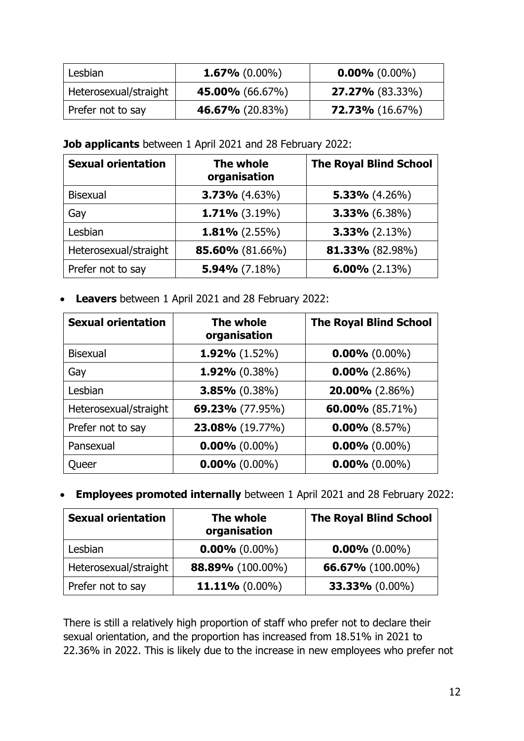| l Lesbian             | $1.67\%$ (0.00%)       | $0.00\%$ (0.00%)          |
|-----------------------|------------------------|---------------------------|
| Heterosexual/straight | 45.00% $(66.67\%)$     | $27.27\%$ (83.33%)        |
| Prefer not to say     | <b>46.67%</b> (20.83%) | <b>72.73%</b> $(16.67\%)$ |

#### **Job applicants** between 1 April 2021 and 28 February 2022:

| <b>Sexual orientation</b> | The whole<br>organisation | <b>The Royal Blind School</b> |
|---------------------------|---------------------------|-------------------------------|
| <b>Bisexual</b>           | $3.73\%$ (4.63%)          | $5.33\%$ (4.26%)              |
| Gay                       | $1.71\%$ (3.19%)          | $3.33\%$ (6.38%)              |
| Lesbian                   | $1.81\%$ (2.55%)          | $3.33\%$ (2.13%)              |
| Heterosexual/straight     | 85.60% (81.66%)           | 81.33% (82.98%)               |
| Prefer not to say         | $5.94\%$ (7.18%)          | $6.00\%$ (2.13%)              |

• **Leavers** between 1 April 2021 and 28 February 2022:

| <b>Sexual orientation</b> | The whole<br>organisation | <b>The Royal Blind School</b> |
|---------------------------|---------------------------|-------------------------------|
| <b>Bisexual</b>           | 1.92% $(1.52\%)$          | $0.00\%$ (0.00%)              |
| Gay                       | $1.92\%$ (0.38%)          | $0.00\%$ (2.86%)              |
| Lesbian                   | $3.85\%$ (0.38%)          | $20.00\%$ (2.86%)             |
| Heterosexual/straight     | <b>69.23%</b> (77.95%)    | 60.00% $(85.71\%)$            |
| Prefer not to say         | 23.08% (19.77%)           | $0.00\%$ (8.57%)              |
| Pansexual                 | $0.00\%$ (0.00%)          | $0.00\%$ (0.00%)              |
| Queer                     | $0.00\%$ (0.00%)          | $0.00\%$ (0.00%)              |

• **Employees promoted internally** between 1 April 2021 and 28 February 2022:

| <b>Sexual orientation</b> | The whole<br>organisation | <b>The Royal Blind School</b> |
|---------------------------|---------------------------|-------------------------------|
| Lesbian                   | $0.00\%$ (0.00%)          | $0.00\%$ (0.00%)              |
| Heterosexual/straight     | 88.89% (100.00%)          | <b>66.67%</b> (100.00%)       |
| Prefer not to say         | 11.11% $(0.00\%)$         | $33.33\% (0.00\%)$            |

There is still a relatively high proportion of staff who prefer not to declare their sexual orientation, and the proportion has increased from 18.51% in 2021 to 22.36% in 2022. This is likely due to the increase in new employees who prefer not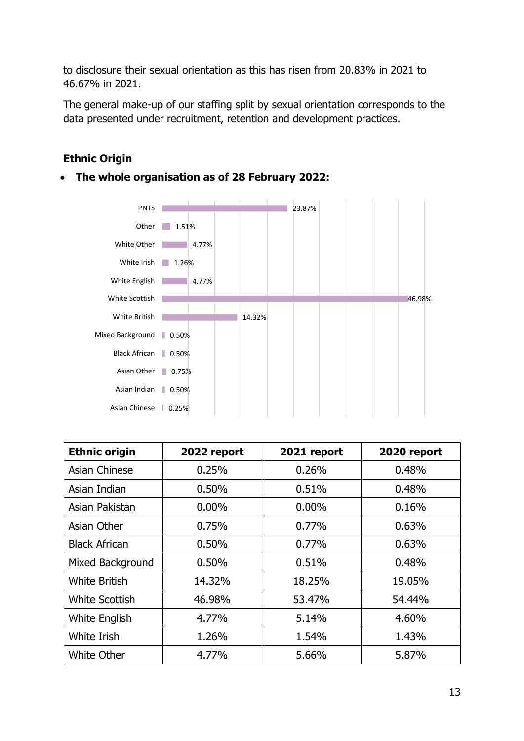to disclosure their sexual orientation as this has risen from 20.83% in 2021 to 46.67% in 2021.

The general make-up of our staffing split by sexual orientation corresponds to the data presented under recruitment, retention and development practices.

## **Ethnic Origin**



| <b>Ethnic origin</b>  | 2022 report | 2021 report | 2020 report |
|-----------------------|-------------|-------------|-------------|
| Asian Chinese         | 0.25%       | 0.26%       | 0.48%       |
| Asian Indian          | 0.50%       | 0.51%       | 0.48%       |
| Asian Pakistan        | $0.00\%$    | $0.00\%$    | 0.16%       |
| Asian Other           | 0.75%       | 0.77%       | 0.63%       |
| <b>Black African</b>  | 0.50%       | 0.77%       | 0.63%       |
| Mixed Background      | 0.50%       | 0.51%       | 0.48%       |
| <b>White British</b>  | 14.32%      | 18.25%      | 19.05%      |
| <b>White Scottish</b> | 46.98%      | 53.47%      | 54.44%      |
| <b>White English</b>  | 4.77%       | 5.14%       | 4.60%       |
| White Irish           | 1.26%       | 1.54%       | 1.43%       |
| White Other           | 4.77%       | 5.66%       | 5.87%       |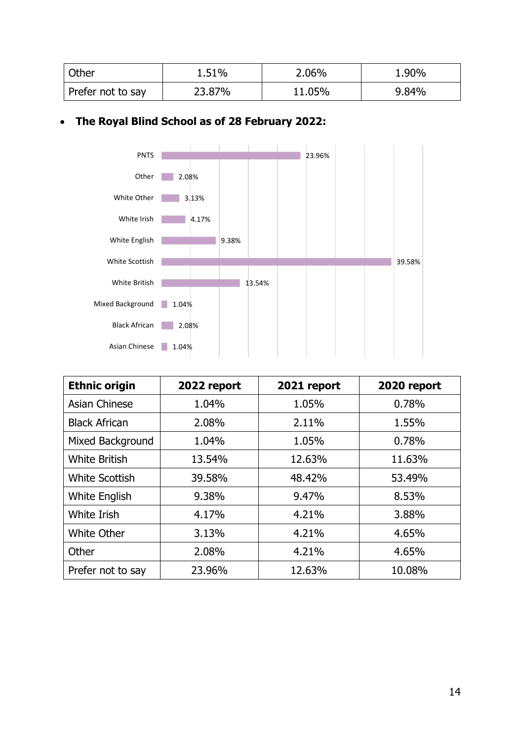| Other             | 1.51%  | 2.06%  | 1.90% |
|-------------------|--------|--------|-------|
| Prefer not to say | 23.87% | 11.05% | 9.84% |



| <b>Ethnic origin</b>  | 2022 report | 2021 report | 2020 report |
|-----------------------|-------------|-------------|-------------|
| <b>Asian Chinese</b>  | 1.04%       | 1.05%       | 0.78%       |
| <b>Black African</b>  | 2.08%       | 2.11%       | 1.55%       |
| Mixed Background      | 1.04%       | 1.05%       | 0.78%       |
| <b>White British</b>  | 13.54%      | 12.63%      | 11.63%      |
| <b>White Scottish</b> | 39.58%      | 48.42%      | 53.49%      |
| <b>White English</b>  | 9.38%       | 9.47%       | 8.53%       |
| White Irish           | 4.17%       | 4.21%       | 3.88%       |
| <b>White Other</b>    | 3.13%       | 4.21%       | 4.65%       |
| Other                 | 2.08%       | 4.21%       | 4.65%       |
| Prefer not to say     | 23.96%      | 12.63%      | 10.08%      |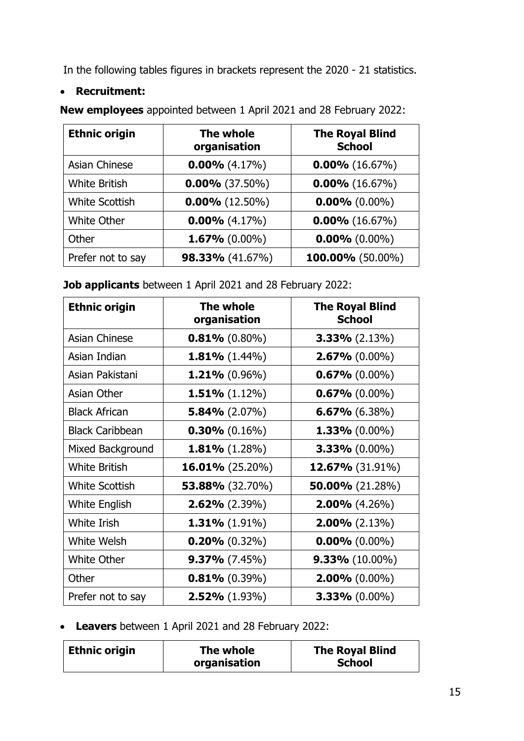In the following tables figures in brackets represent the 2020 - 21 statistics.

### • **Recruitment:**

**Ethnic origin The whole organisation The Royal Blind School** Asian Chinese **0.00%** (4.17%) **0.00%** (16.67%) White British **0.00%** (37.50%) **0.00%** (16.67%) White Scottish **0.00%** (12.50%) **0.00%** (0.00%) White Other **0.00%** (4.17%) **0.00%** (16.67%) Other **1.67%** (0.00%) **0.00%** (0.00%) Prefer not to say **98.33%** (41.67%) **100.00%** (50.00%)

**New employees** appointed between 1 April 2021 and 28 February 2022:

**Job applicants** between 1 April 2021 and 28 February 2022:

| <b>Ethnic origin</b>   | The whole<br>organisation | <b>The Royal Blind</b><br><b>School</b> |
|------------------------|---------------------------|-----------------------------------------|
| <b>Asian Chinese</b>   | $0.81\%$ (0.80%)          | $3.33\%$ (2.13%)                        |
| Asian Indian           | $1.81\%$ (1.44%)          | $2.67% (0.00\%)$                        |
| Asian Pakistani        | $1.21\%$ (0.96%)          | $0.67\%$ (0.00%)                        |
| Asian Other            | $1.51\%$ (1.12%)          | $0.67\%$ (0.00%)                        |
| <b>Black African</b>   | $5.84\%$ (2.07%)          | $6.67\%$ (6.38%)                        |
| <b>Black Caribbean</b> | $0.30\%$ (0.16%)          | $1.33\%$ (0.00%)                        |
| Mixed Background       | <b>1.81%</b> $(1.28\%)$   | $3.33\%$ (0.00%)                        |
| <b>White British</b>   | $16.01\%$ (25.20%)        | <b>12.67%</b> (31.91%)                  |
| <b>White Scottish</b>  | <b>53.88%</b> (32.70%)    | 50.00% $(21.28%)$                       |
| <b>White English</b>   | $2.62\%$ (2.39%)          | $2.00\%$ (4.26%)                        |
| White Irish            | $1.31\% (1.91\%)$         | $2.00\%$ (2.13%)                        |
| <b>White Welsh</b>     | $0.20\%$ (0.32%)          | $0.00\%$ (0.00%)                        |
| White Other            | $9.37\%$ (7.45%)          | $9.33\%$ (10.00%)                       |
| Other                  | $0.81\%$ (0.39%)          | $2.00\%$ (0.00%)                        |
| Prefer not to say      | $2.52\%$ (1.93%)          | $3.33\%$ (0.00%)                        |

• **Leavers** between 1 April 2021 and 28 February 2022:

| Ethnic origin | The whole    | <b>The Royal Blind</b> |
|---------------|--------------|------------------------|
|               | organisation | <b>School</b>          |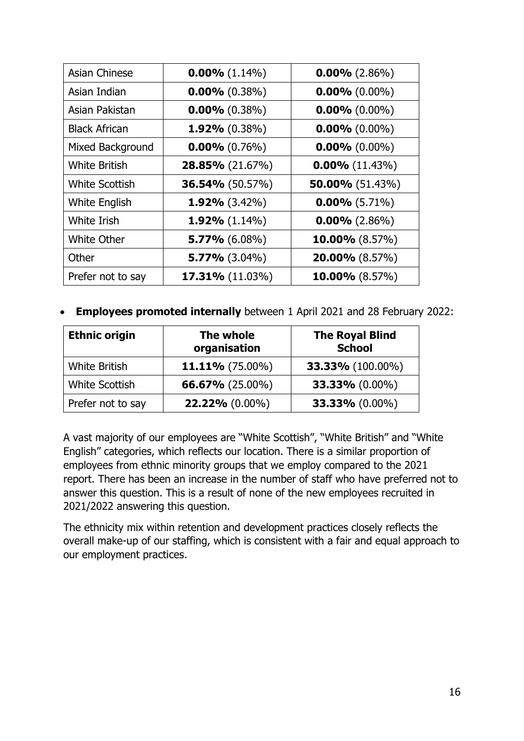| <b>Asian Chinese</b>  | $0.00\%$ (1.14%)       | $0.00\%$ (2.86%)  |
|-----------------------|------------------------|-------------------|
| Asian Indian          | $0.00\%$ (0.38%)       | $0.00\%$ (0.00%)  |
| Asian Pakistan        | $0.00\%$ (0.38%)       | $0.00\%$ (0.00%)  |
| <b>Black African</b>  | $1.92\%$ (0.38%)       | $0.00\%$ (0.00%)  |
| Mixed Background      | $0.00\%$ (0.76%)       | $0.00\%$ (0.00%)  |
| <b>White British</b>  | 28.85% (21.67%)        | $0.00\%$ (11.43%) |
| <b>White Scottish</b> | <b>36.54%</b> (50.57%) | 50.00% $(51.43%)$ |
| <b>White English</b>  | $1.92\%$ (3.42%)       | $0.00\%$ (5.71%)  |
| <b>White Irish</b>    | 1.92% $(1.14\%)$       | $0.00\%$ (2.86%)  |
| White Other           | $5.77\%$ (6.08%)       | 10.00% $(8.57%)$  |
| Other                 | $5.77\%$ (3.04%)       | $20.00\%$ (8.57%) |
| Prefer not to say     | 17.31% (11.03%)        | 10.00% $(8.57%)$  |

• **Employees promoted internally** between 1 April 2021 and 28 February 2022:

| <b>Ethnic origin</b>  | The whole<br>organisation | <b>The Royal Blind</b><br><b>School</b> |
|-----------------------|---------------------------|-----------------------------------------|
| <b>White British</b>  | $11.11\%$ (75.00%)        | <b>33.33%</b> (100.00%)                 |
| <b>White Scottish</b> | 66.67% $(25.00\%)$        | 33.33% $(0.00\%)$                       |
| Prefer not to say     | $22.22\% (0.00\%)$        | 33.33% (0.00%)                          |

A vast majority of our employees are "White Scottish", "White British" and "White English" categories, which reflects our location. There is a similar proportion of employees from ethnic minority groups that we employ compared to the 2021 report. There has been an increase in the number of staff who have preferred not to answer this question. This is a result of none of the new employees recruited in 2021/2022 answering this question.

The ethnicity mix within retention and development practices closely reflects the overall make-up of our staffing, which is consistent with a fair and equal approach to our employment practices.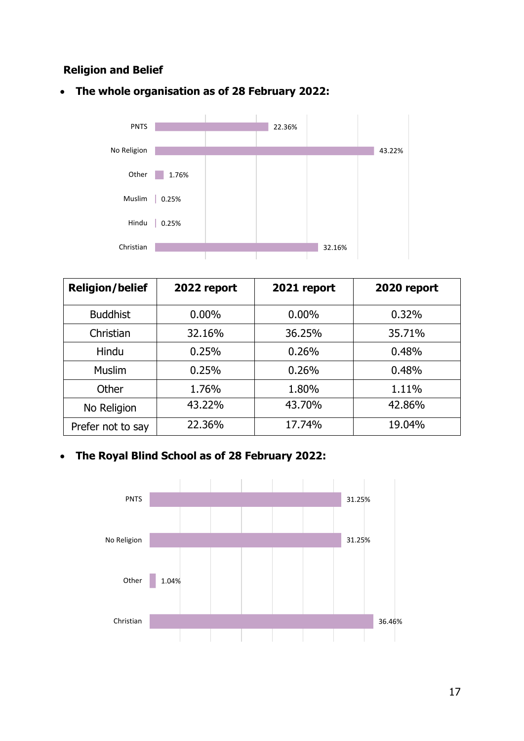### **Religion and Belief**





| <b>Religion/belief</b> | 2022 report | 2021 report | 2020 report |
|------------------------|-------------|-------------|-------------|
| <b>Buddhist</b>        | $0.00\%$    | $0.00\%$    | 0.32%       |
| Christian              | 32.16%      | 36.25%      | 35.71%      |
| Hindu                  | 0.25%       | 0.26%       | 0.48%       |
| <b>Muslim</b>          | 0.25%       | 0.26%       | 0.48%       |
| Other                  | 1.76%       | 1.80%       | 1.11%       |
| No Religion            | 43.22%      | 43.70%      | 42.86%      |
| Prefer not to say      | 22.36%      | 17.74%      | 19.04%      |

### • **The Royal Blind School as of 28 February 2022:**

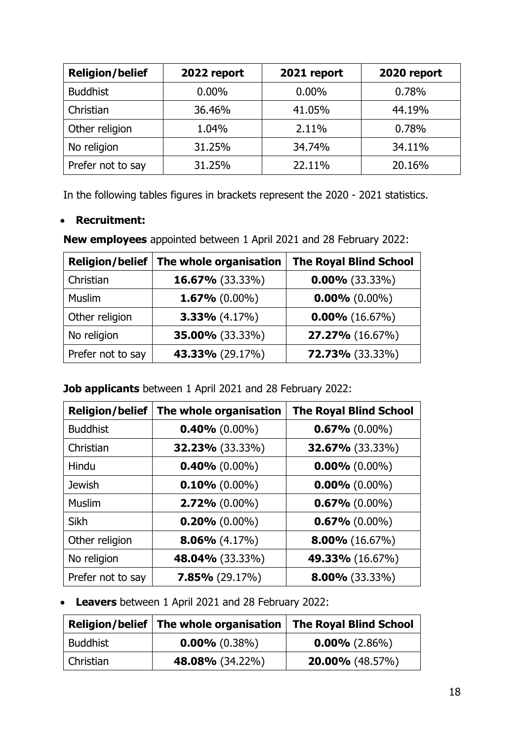| <b>Religion/belief</b> | 2022 report | 2021 report | 2020 report |
|------------------------|-------------|-------------|-------------|
| <b>Buddhist</b>        | $0.00\%$    | $0.00\%$    | 0.78%       |
| Christian              | 36.46%      | 41.05%      | 44.19%      |
| Other religion         | 1.04%       | 2.11%       | 0.78%       |
| No religion            | 31.25%      | 34.74%      | 34.11%      |
| Prefer not to say      | 31.25%      | 22.11%      | 20.16%      |

In the following tables figures in brackets represent the 2020 - 2021 statistics.

### • **Recruitment:**

**New employees** appointed between 1 April 2021 and 28 February 2022:

| <b>Religion/belief</b> | The whole organisation | <b>The Royal Blind School</b> |
|------------------------|------------------------|-------------------------------|
| Christian              | $16.67\%$ (33.33%)     | $0.00\%$ (33.33%)             |
| <b>Muslim</b>          | $1.67\%$ (0.00%)       | $0.00\%$ (0.00%)              |
| Other religion         | $3.33\%$ (4.17%)       | $0.00\%$ (16.67%)             |
| No religion            | 35.00% (33.33%)        | <b>27.27%</b> (16.67%)        |
| Prefer not to say      | <b>43.33%</b> (29.17%) | 72.73% (33.33%)               |

**Job applicants** between 1 April 2021 and 28 February 2022:

| <b>Religion/belief</b> | The whole organisation | <b>The Royal Blind School</b> |
|------------------------|------------------------|-------------------------------|
| <b>Buddhist</b>        | $0.40\%$ (0.00%)       | $0.67\%$ (0.00%)              |
| Christian              | <b>32.23%</b> (33.33%) | <b>32.67%</b> (33.33%)        |
| Hindu                  | $0.40\%$ (0.00%)       | $0.00\%$ (0.00%)              |
| <b>Jewish</b>          | $0.10\%$ (0.00%)       | $0.00\%$ (0.00%)              |
| <b>Muslim</b>          | $2.72\%$ (0.00%)       | $0.67\%$ (0.00%)              |
| Sikh                   | $0.20\%$ (0.00%)       | $0.67\%$ (0.00%)              |
| Other religion         | $8.06\%$ (4.17%)       | $8.00\%$ (16.67%)             |
| No religion            | <b>48.04%</b> (33.33%) | <b>49.33%</b> (16.67%)        |
| Prefer not to say      | $7.85\%$ (29.17%)      | $8.00\%$ (33.33%)             |

• **Leavers** between 1 April 2021 and 28 February 2022:

|           | Religion/belief   The whole organisation   The Royal Blind School |                          |
|-----------|-------------------------------------------------------------------|--------------------------|
| Buddhist  | $0.00\%$ (0.38%)                                                  | $0.00\%$ (2.86%)         |
| Christian | <b>48.08%</b> (34.22%)                                            | <b>20.00%</b> $(48.57%)$ |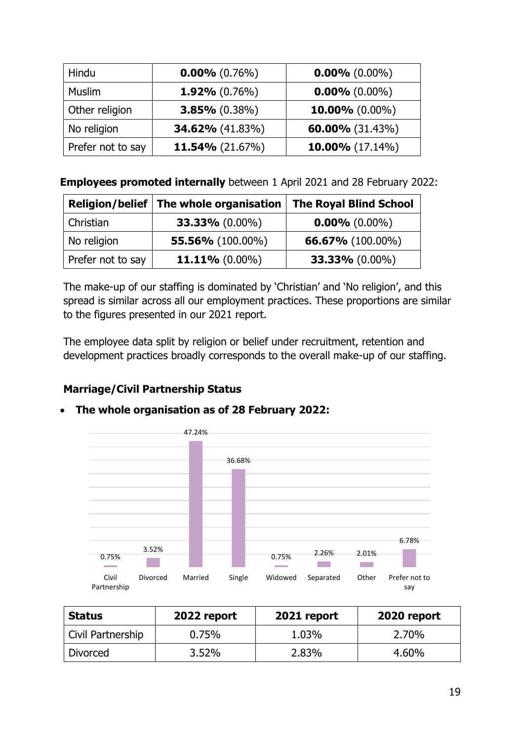| Hindu             | $0.00\%$ (0.76%)       | $0.00\%$ (0.00%)   |
|-------------------|------------------------|--------------------|
| Muslim            | $1.92\%$ (0.76%)       | $0.00\%$ (0.00%)   |
| Other religion    | $3.85\%$ (0.38%)       | 10.00% $(0.00\%)$  |
| No religion       | <b>34.62%</b> (41.83%) | 60.00% $(31.43\%)$ |
| Prefer not to say | 11.54% $(21.67%)$      | 10.00% $(17.14\%)$ |

**Employees promoted internally** between 1 April 2021 and 28 February 2022:

|                   | Religion/belief   The whole organisation | <b>The Royal Blind School</b> |
|-------------------|------------------------------------------|-------------------------------|
| Christian         | $33.33\%$ (0.00%)                        | $0.00\%$ (0.00%)              |
| No religion       | <b>55.56%</b> (100.00%)                  | <b>66.67%</b> (100.00%)       |
| Prefer not to say | 11.11% $(0.00\%)$                        | 33.33% (0.00%)                |

The make-up of our staffing is dominated by 'Christian' and 'No religion', and this spread is similar across all our employment practices. These proportions are similar to the figures presented in our 2021 report.

The employee data split by religion or belief under recruitment, retention and development practices broadly corresponds to the overall make-up of our staffing.

# **Marriage/Civil Partnership Status**



| <b>Status</b>     | 2022 report | 2021 report | 2020 report |
|-------------------|-------------|-------------|-------------|
| Civil Partnership | 0.75%       | 1.03%       | 2.70%       |
| <b>Divorced</b>   | $3.52\%$    | 2.83%       | 4.60%       |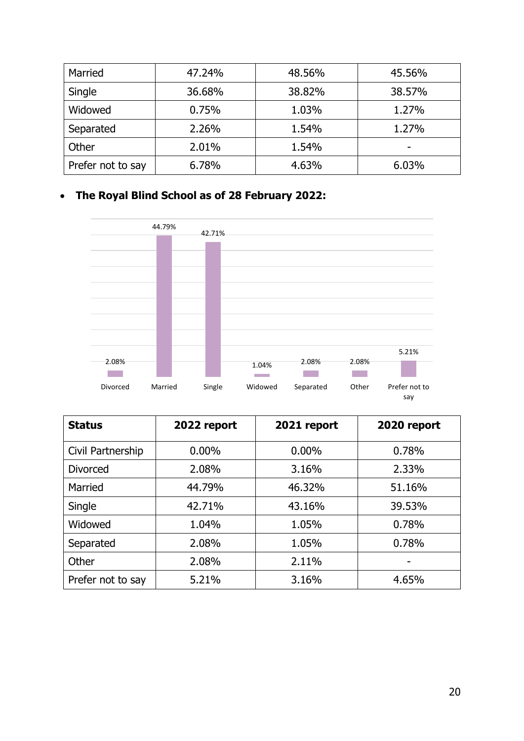| Married           | 47.24% | 48.56% | 45.56% |
|-------------------|--------|--------|--------|
| Single            | 36.68% | 38.82% | 38.57% |
| Widowed           | 0.75%  | 1.03%  | 1.27%  |
| Separated         | 2.26%  | 1.54%  | 1.27%  |
| Other             | 2.01%  | 1.54%  | -      |
| Prefer not to say | 6.78%  | 4.63%  | 6.03%  |



| <b>Status</b>     | 2022 report | 2021 report | 2020 report |
|-------------------|-------------|-------------|-------------|
| Civil Partnership | $0.00\%$    | $0.00\%$    | 0.78%       |
| <b>Divorced</b>   | 2.08%       | 3.16%       | 2.33%       |
| Married           | 44.79%      | 46.32%      | 51.16%      |
| Single            | 42.71%      | 43.16%      | 39.53%      |
| Widowed           | 1.04%       | 1.05%       | 0.78%       |
| Separated         | 2.08%       | 1.05%       | 0.78%       |
| Other             | 2.08%       | 2.11%       |             |
| Prefer not to say | 5.21%       | 3.16%       | 4.65%       |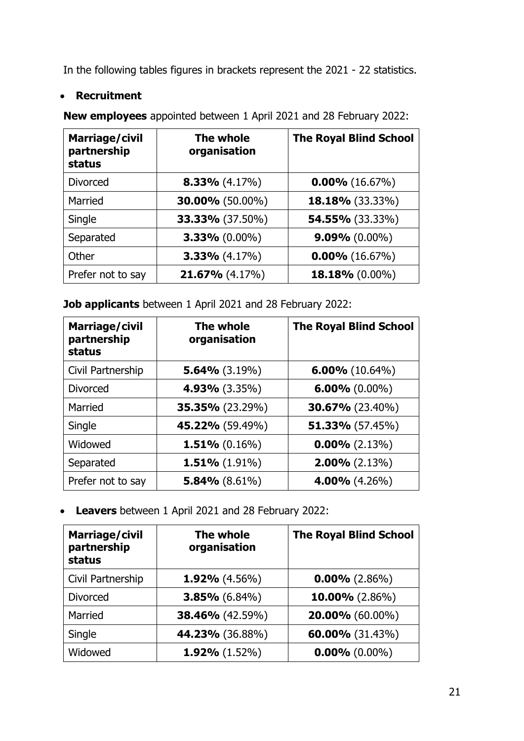In the following tables figures in brackets represent the 2021 - 22 statistics.

### • **Recruitment**

**Marriage/civil partnership status The whole organisation The Royal Blind School** Divorced **8.33%** (4.17%) **0.00%** (16.67%) Married **30.00%** (50.00%) **18.18%** (33.33%) Single **33.33%** (37.50%) **54.55%** (33.33%) Separated **3.33%** (0.00%) **9.09%** (0.00%) Other **3.33%** (4.17%) **0.00%** (16.67%) Prefer not to say **21.67%** (4.17%) **18.18%** (0.00%)

**New employees** appointed between 1 April 2021 and 28 February 2022:

**Job applicants** between 1 April 2021 and 28 February 2022:

| <b>Marriage/civil</b><br>partnership<br>status | The whole<br>organisation | <b>The Royal Blind School</b> |
|------------------------------------------------|---------------------------|-------------------------------|
| Civil Partnership                              | $5.64\%$ (3.19%)          | $6.00\%$ (10.64%)             |
| <b>Divorced</b>                                | 4.93% (3.35%)             | $6.00\%$ (0.00%)              |
| Married                                        | <b>35.35%</b> (23.29%)    | $30.67\%$ (23.40%)            |
| Single                                         | <b>45.22%</b> (59.49%)    | $51.33\%$ (57.45%)            |
| Widowed                                        | $1.51\%$ (0.16%)          | $0.00\%$ (2.13%)              |
| Separated                                      | $1.51\%$ (1.91%)          | $2.00\%$ (2.13%)              |
| Prefer not to say                              | 5.84% $(8.61\%)$          | $4.00\%$ (4.26%)              |

• **Leavers** between 1 April 2021 and 28 February 2022:

| <b>Marriage/civil</b><br>partnership<br><b>status</b> | The whole<br>organisation | <b>The Royal Blind School</b> |
|-------------------------------------------------------|---------------------------|-------------------------------|
| Civil Partnership                                     | $1.92\%$ (4.56%)          | $0.00\%$ (2.86%)              |
| <b>Divorced</b>                                       | $3.85\%$ (6.84%)          | 10.00% $(2.86\%)$             |
| Married                                               | 38.46% (42.59%)           | 20.00% (60.00%)               |
| Single                                                | <b>44.23%</b> (36.88%)    | 60.00% (31.43%)               |
| Widowed                                               | $1.92\%$ (1.52%)          | $0.00\%$ (0.00%)              |